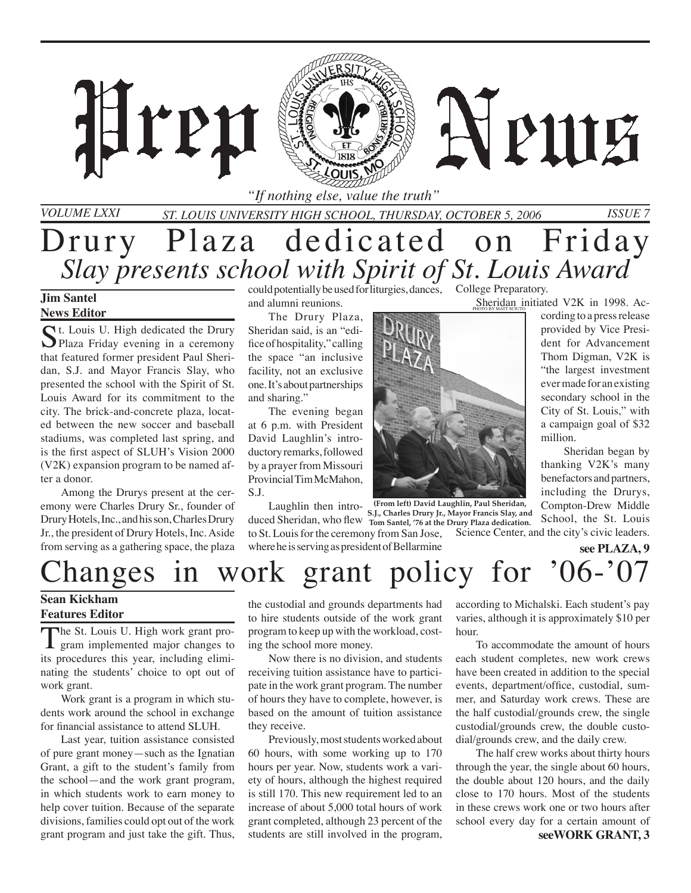

*St. Louis University High School, Thursday, October 5, 2006 Issue 7*

## Drury Plaza dedicated on Friday *Slay presents school with Spirit of St. Louis Award*

#### **Jim Santel News Editor**

*Volume LXXI*

C<sup>t.</sup> Louis U. High dedicated the Drury Plaza Friday evening in a ceremony that featured former president Paul Sheridan, S.J. and Mayor Francis Slay, who presented the school with the Spirit of St. Louis Award for its commitment to the city. The brick-and-concrete plaza, located between the new soccer and baseball stadiums, was completed last spring, and is the first aspect of SLUH's Vision 2000 (V2K) expansion program to be named after a donor.

Hren

Among the Drurys present at the ceremony were Charles Drury Sr., founder of Drury Hotels, Inc., and his son, Charles Drury Jr., the president of Drury Hotels, Inc. Aside from serving as a gathering space, the plaza

could potentially be used for liturgies, dances, College Preparatory. and alumni reunions.

The Drury Plaza, Sheridan said, is an "edifice of hospitality," calling the space "an inclusive facility, not an exclusive one. It's about partnerships and sharing."

The evening began at 6 p.m. with President David Laughlin's introductory remarks, followed by a prayer from Missouri Provincial Tim McMahon, S.J.

Laughlin then intro-**(From left) David Laughlin, Paul Sheridan,**  duced Sheridan, who flew **Tom Santel, '76 at the Drury Plaza dedication.** to St. Louis for the ceremony from San Jose, Science Center, and the city's civic leaders. where he is serving as president of Bellarmine **S.J., Charles Drury Jr., Mayor Francis Slay, and** 

Sheridan initiated V2K in 1998. Ac-

A PUIE

cording to a press release provided by Vice President for Advancement Thom Digman, V2K is "the largest investment ever made for an existing secondary school in the City of St. Louis," with a campaign goal of \$32 million.

 Sheridan began by thanking V2K's many benefactors and partners, including the Drurys, Compton-Drew Middle School, the St. Louis

**see PLAZA, 9**

# hanges in work grant policy for '06-'07

#### **Sean Kickham Features Editor**

The St. Louis U. High work grant program implemented major changes to its procedures this year, including eliminating the students' choice to opt out of work grant.

Work grant is a program in which students work around the school in exchange for financial assistance to attend SLUH.

Last year, tuition assistance consisted of pure grant money—such as the Ignatian Grant, a gift to the student's family from the school—and the work grant program, in which students work to earn money to help cover tuition. Because of the separate divisions, families could opt out of the work grant program and just take the gift. Thus,

the custodial and grounds departments had to hire students outside of the work grant program to keep up with the workload, costing the school more money.

Now there is no division, and students receiving tuition assistance have to participate in the work grant program. The number of hours they have to complete, however, is based on the amount of tuition assistance they receive.

Previously, most students worked about 60 hours, with some working up to 170 hours per year. Now, students work a variety of hours, although the highest required is still 170. This new requirement led to an increase of about 5,000 total hours of work grant completed, although 23 percent of the students are still involved in the program,

according to Michalski. Each student's pay varies, although it is approximately \$10 per hour.

To accommodate the amount of hours each student completes, new work crews have been created in addition to the special events, department/office, custodial, summer, and Saturday work crews. These are the half custodial/grounds crew, the single custodial/grounds crew, the double custodial/grounds crew, and the daily crew.

The half crew works about thirty hours through the year, the single about 60 hours, the double about 120 hours, and the daily close to 170 hours. Most of the students in these crews work one or two hours after school every day for a certain amount of **seeWORK GRANT, 3**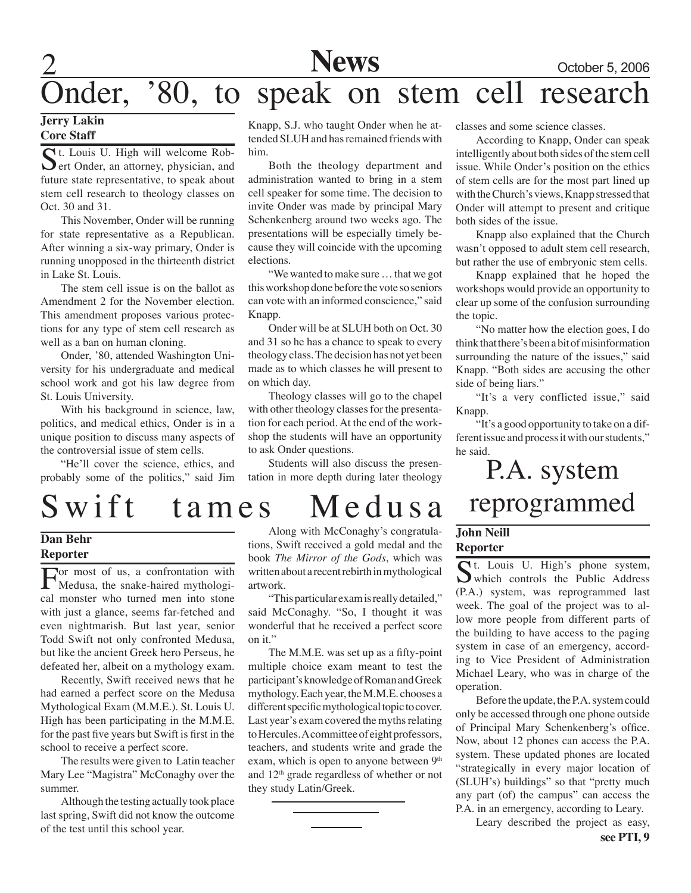**News** October 5, 2006

## Onder, '80, to speak on stem cell research

#### **Jerry Lakin Core Staff**

St. Louis U. High will welcome Rob- $\sum$  ert Onder, an attorney, physician, and future state representative, to speak about stem cell research to theology classes on Oct. 30 and 31.

This November, Onder will be running for state representative as a Republican. After winning a six-way primary, Onder is running unopposed in the thirteenth district in Lake St. Louis.

The stem cell issue is on the ballot as Amendment 2 for the November election. This amendment proposes various protections for any type of stem cell research as well as a ban on human cloning.

Onder, '80, attended Washington University for his undergraduate and medical school work and got his law degree from St. Louis University.

With his background in science, law, politics, and medical ethics, Onder is in a unique position to discuss many aspects of the controversial issue of stem cells.

"He'll cover the science, ethics, and probably some of the politics," said Jim

Knapp, S.J. who taught Onder when he attended SLUH and has remained friends with him.

Both the theology department and administration wanted to bring in a stem cell speaker for some time. The decision to invite Onder was made by principal Mary Schenkenberg around two weeks ago. The presentations will be especially timely because they will coincide with the upcoming elections.

"We wanted to make sure … that we got this workshop done before the vote so seniors can vote with an informed conscience," said Knapp.

Onder will be at SLUH both on Oct. 30 and 31 so he has a chance to speak to every theology class. The decision has not yet been made as to which classes he will present to on which day.

Theology classes will go to the chapel with other theology classes for the presentation for each period. At the end of the workshop the students will have an opportunity to ask Onder questions.

Students will also discuss the presentation in more depth during later theology

## S wift tames Medusa

#### **Dan Behr Reporter**

For most of us, a confrontation with Medusa, the snake-haired mythological monster who turned men into stone with just a glance, seems far-fetched and even nightmarish. But last year, senior Todd Swift not only confronted Medusa, but like the ancient Greek hero Perseus, he defeated her, albeit on a mythology exam.

Recently, Swift received news that he had earned a perfect score on the Medusa Mythological Exam (M.M.E.). St. Louis U. High has been participating in the M.M.E. for the past five years but Swift is first in the school to receive a perfect score.

The results were given to Latin teacher Mary Lee "Magistra" McConaghy over the summer.

Although the testing actually took place last spring, Swift did not know the outcome of the test until this school year.

Along with McConaghy's congratulations, Swift received a gold medal and the book *The Mirror of the Gods*, which was written about a recent rebirth in mythological artwork.

"This particular exam is really detailed," said McConaghy. "So, I thought it was wonderful that he received a perfect score on it."

The M.M.E. was set up as a fifty-point multiple choice exam meant to test the participant's knowledge of Roman and Greek mythology. Each year, the M.M.E. chooses a different specific mythological topic to cover. Last year's exam covered the myths relating to Hercules. A committee of eight professors, teachers, and students write and grade the exam, which is open to anyone between 9<sup>th</sup> and 12th grade regardless of whether or not they study Latin/Greek.

classes and some science classes.

According to Knapp, Onder can speak intelligently about both sides of the stem cell issue. While Onder's position on the ethics of stem cells are for the most part lined up with the Church's views, Knapp stressed that Onder will attempt to present and critique both sides of the issue.

Knapp also explained that the Church wasn't opposed to adult stem cell research, but rather the use of embryonic stem cells.

Knapp explained that he hoped the workshops would provide an opportunity to clear up some of the confusion surrounding the topic.

"No matter how the election goes, I do think that there's been a bit of misinformation surrounding the nature of the issues," said Knapp. "Both sides are accusing the other side of being liars."

"It's a very conflicted issue," said Knapp.

"It's a good opportunity to take on a different issue and process it with our students," he said.

P.A. system reprogrammed

#### **John Neill Reporter**

St. Louis U. High's phone system, which controls the Public Address (P.A.) system, was reprogrammed last week. The goal of the project was to allow more people from different parts of the building to have access to the paging system in case of an emergency, according to Vice President of Administration Michael Leary, who was in charge of the operation.

Before the update, the P.A. system could only be accessed through one phone outside of Principal Mary Schenkenberg's office. Now, about 12 phones can access the P.A. system. These updated phones are located "strategically in every major location of (SLUH's) buildings" so that "pretty much any part (of) the campus" can access the P.A. in an emergency, according to Leary.

Leary described the project as easy,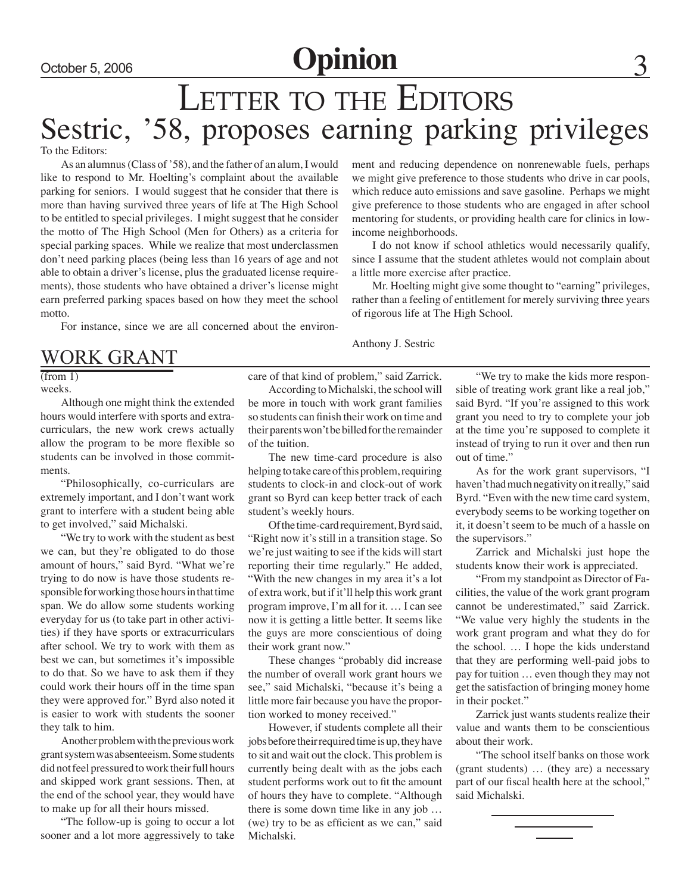### October 5, 2006 **Opinion**

## LETTER TO THE EDITORS Sestric, '58, proposes earning parking privileges

To the Editors:

As an alumnus (Class of '58), and the father of an alum, I would like to respond to Mr. Hoelting's complaint about the available parking for seniors. I would suggest that he consider that there is more than having survived three years of life at The High School to be entitled to special privileges. I might suggest that he consider the motto of The High School (Men for Others) as a criteria for special parking spaces. While we realize that most underclassmen don't need parking places (being less than 16 years of age and not able to obtain a driver's license, plus the graduated license requirements), those students who have obtained a driver's license might earn preferred parking spaces based on how they meet the school motto.

For instance, since we are all concerned about the environ-

### WORK GRANT

 $(from 1)$ weeks.

Although one might think the extended hours would interfere with sports and extracurriculars, the new work crews actually allow the program to be more flexible so students can be involved in those commitments.

"Philosophically, co-curriculars are extremely important, and I don't want work grant to interfere with a student being able to get involved," said Michalski.

"We try to work with the student as best we can, but they're obligated to do those amount of hours," said Byrd. "What we're trying to do now is have those students responsible for working those hours in that time span. We do allow some students working everyday for us (to take part in other activities) if they have sports or extracurriculars after school. We try to work with them as best we can, but sometimes it's impossible to do that. So we have to ask them if they could work their hours off in the time span they were approved for." Byrd also noted it is easier to work with students the sooner they talk to him.

Another problem with the previous work grant system was absenteeism. Some students did not feel pressured to work their full hours and skipped work grant sessions. Then, at the end of the school year, they would have to make up for all their hours missed.

"The follow-up is going to occur a lot sooner and a lot more aggressively to take ment and reducing dependence on nonrenewable fuels, perhaps we might give preference to those students who drive in car pools, which reduce auto emissions and save gasoline. Perhaps we might give preference to those students who are engaged in after school mentoring for students, or providing health care for clinics in lowincome neighborhoods.

I do not know if school athletics would necessarily qualify, since I assume that the student athletes would not complain about a little more exercise after practice.

Mr. Hoelting might give some thought to "earning" privileges, rather than a feeling of entitlement for merely surviving three years of rigorous life at The High School.

Anthony J. Sestric

care of that kind of problem," said Zarrick.

According to Michalski, the school will be more in touch with work grant families so students can finish their work on time and their parents won't be billed for the remainder of the tuition.

The new time-card procedure is also helping to take care of this problem, requiring students to clock-in and clock-out of work grant so Byrd can keep better track of each student's weekly hours.

Of the time-card requirement, Byrd said, "Right now it's still in a transition stage. So we're just waiting to see if the kids will start reporting their time regularly." He added, "With the new changes in my area it's a lot of extra work, but if it'll help this work grant program improve, I'm all for it. … I can see now it is getting a little better. It seems like the guys are more conscientious of doing their work grant now."

These changes "probably did increase the number of overall work grant hours we see," said Michalski, "because it's being a little more fair because you have the proportion worked to money received."

However, if students complete all their jobs before their required time is up, they have to sit and wait out the clock. This problem is currently being dealt with as the jobs each student performs work out to fit the amount of hours they have to complete. "Although there is some down time like in any job … (we) try to be as efficient as we can," said Michalski.

"We try to make the kids more responsible of treating work grant like a real job," said Byrd. "If you're assigned to this work grant you need to try to complete your job at the time you're supposed to complete it instead of trying to run it over and then run out of time."

As for the work grant supervisors, "I haven't had much negativity on it really," said Byrd. "Even with the new time card system, everybody seems to be working together on it, it doesn't seem to be much of a hassle on the supervisors."

Zarrick and Michalski just hope the students know their work is appreciated.

"From my standpoint as Director of Facilities, the value of the work grant program cannot be underestimated," said Zarrick. "We value very highly the students in the work grant program and what they do for the school. … I hope the kids understand that they are performing well-paid jobs to pay for tuition … even though they may not get the satisfaction of bringing money home in their pocket."

Zarrick just wants students realize their value and wants them to be conscientious about their work.

"The school itself banks on those work (grant students) … (they are) a necessary part of our fiscal health here at the school," said Michalski.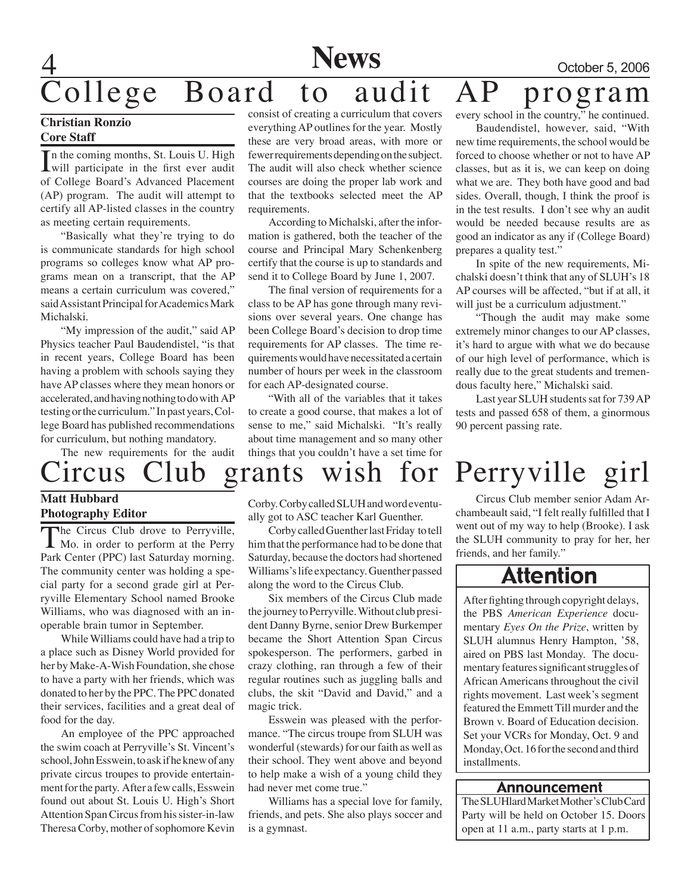## **News** October 5, 2006 ollege Board to audit AP program

#### **Christian Ronzio Core Staff**

In the coming months, St. Louis U. High<br>will participate in the first ever audit n the coming months, St. Louis U. High of College Board's Advanced Placement (AP) program. The audit will attempt to certify all AP-listed classes in the country as meeting certain requirements.

"Basically what they're trying to do is communicate standards for high school programs so colleges know what AP programs mean on a transcript, that the AP means a certain curriculum was covered," said Assistant Principal for Academics Mark Michalski.

"My impression of the audit," said AP Physics teacher Paul Baudendistel, "is that in recent years, College Board has been having a problem with schools saying they have AP classes where they mean honors or accelerated, and having nothing to do with AP testing or the curriculum." In past years, College Board has published recommendations for curriculum, but nothing mandatory.

consist of creating a curriculum that covers everything AP outlines for the year. Mostly these are very broad areas, with more or fewer requirements depending on the subject. The audit will also check whether science courses are doing the proper lab work and that the textbooks selected meet the AP requirements.

According to Michalski, after the information is gathered, both the teacher of the course and Principal Mary Schenkenberg certify that the course is up to standards and send it to College Board by June 1, 2007.

The final version of requirements for a class to be AP has gone through many revisions over several years. One change has been College Board's decision to drop time requirements for AP classes. The time requirements would have necessitated a certain number of hours per week in the classroom for each AP-designated course.

"With all of the variables that it takes to create a good course, that makes a lot of sense to me," said Michalski. "It's really about time management and so many other things that you couldn't have a set time for every school in the country," he continued.

Baudendistel, however, said, "With new time requirements, the school would be forced to choose whether or not to have AP classes, but as it is, we can keep on doing what we are. They both have good and bad sides. Overall, though, I think the proof is in the test results. I don't see why an audit would be needed because results are as good an indicator as any if (College Board) prepares a quality test."

In spite of the new requirements, Michalski doesn't think that any of SLUH's 18 AP courses will be affected, "but if at all, it will just be a curriculum adjustment."

"Though the audit may make some extremely minor changes to our AP classes, it's hard to argue with what we do because of our high level of performance, which is really due to the great students and tremendous faculty here," Michalski said.

Last year SLUH students sat for 739 AP tests and passed 658 of them, a ginormous 90 percent passing rate.

### The new requirements for the audit Circus Club grants wish for Perryville girl

#### **Matt Hubbard Photography Editor**

The Circus Club drove to Perryville, **I** Mo. in order to perform at the Perry Park Center (PPC) last Saturday morning. The community center was holding a special party for a second grade girl at Perryville Elementary School named Brooke Williams, who was diagnosed with an inoperable brain tumor in September.

While Williams could have had a trip to a place such as Disney World provided for her by Make-A-Wish Foundation, she chose to have a party with her friends, which was donated to her by the PPC. The PPC donated their services, facilities and a great deal of food for the day.

An employee of the PPC approached the swim coach at Perryville's St. Vincent's school, John Esswein, to ask if he knew of any private circus troupes to provide entertainment for the party. After a few calls, Esswein found out about St. Louis U. High's Short Attention Span Circus from his sister-in-law Theresa Corby, mother of sophomore Kevin

Corby. Corby called SLUH and word eventually got to ASC teacher Karl Guenther.

Corby called Guenther last Friday to tell him that the performance had to be done that Saturday, because the doctors had shortened Williams's life expectancy. Guenther passed along the word to the Circus Club.

Six members of the Circus Club made the journey to Perryville. Without club president Danny Byrne, senior Drew Burkemper became the Short Attention Span Circus spokesperson. The performers, garbed in crazy clothing, ran through a few of their regular routines such as juggling balls and clubs, the skit "David and David," and a magic trick.

Esswein was pleased with the performance. "The circus troupe from SLUH was wonderful (stewards) for our faith as well as their school. They went above and beyond to help make a wish of a young child they had never met come true."

Williams has a special love for family, friends, and pets. She also plays soccer and is a gymnast.

Circus Club member senior Adam Archambeault said, "I felt really fulfilled that I went out of my way to help (Brooke). I ask the SLUH community to pray for her, her friends, and her family."

### Attention

After fighting through copyright delays, the PBS *American Experience* documentary *Eyes On the Prize*, written by SLUH alumnus Henry Hampton, '58, aired on PBS last Monday. The documentary features significant struggles of African Americans throughout the civil rights movement. Last week's segment featured the Emmett Till murder and the Brown v. Board of Education decision. Set your VCRs for Monday, Oct. 9 and Monday, Oct. 16 for the second and third installments.

#### Announcement

The SLUHlard Market Mother's Club Card Party will be held on October 15. Doors open at 11 a.m., party starts at 1 p.m.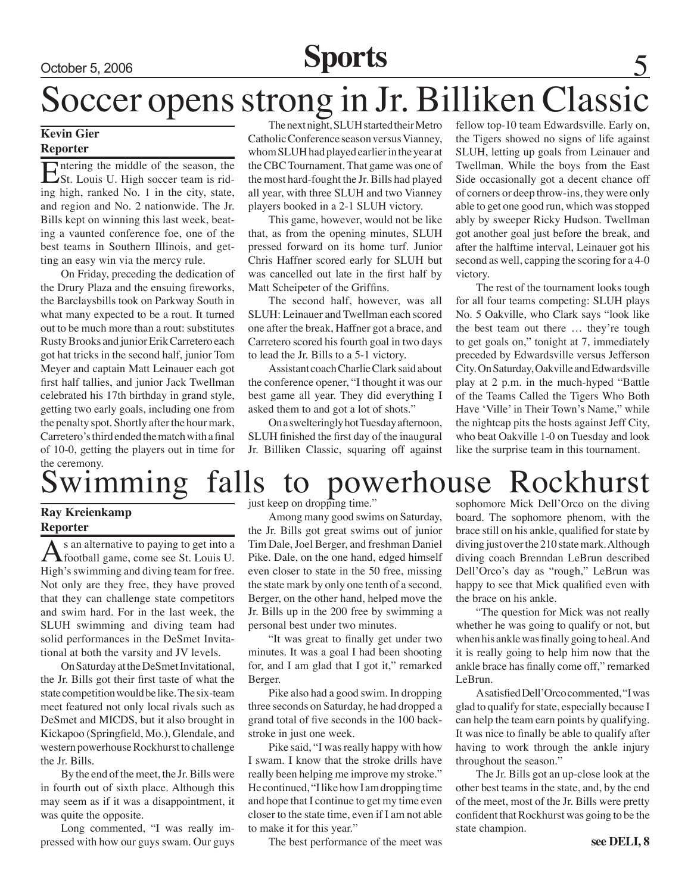# October 5, 2006 **Sports** 5

# Soccer opens strong in Jr. Billiken Classic

#### **Kevin Gier Reporter**

Entering the middle of the season, the St. Louis U. High soccer team is riding high, ranked No. 1 in the city, state, and region and No. 2 nationwide. The Jr. Bills kept on winning this last week, beating a vaunted conference foe, one of the best teams in Southern Illinois, and getting an easy win via the mercy rule.

On Friday, preceding the dedication of the Drury Plaza and the ensuing fireworks, the Barclaysbills took on Parkway South in what many expected to be a rout. It turned out to be much more than a rout: substitutes Rusty Brooks and junior Erik Carretero each got hat tricks in the second half, junior Tom Meyer and captain Matt Leinauer each got first half tallies, and junior Jack Twellman celebrated his 17th birthday in grand style, getting two early goals, including one from the penalty spot. Shortly after the hour mark, Carretero's third ended the match with a final of 10-0, getting the players out in time for the ceremony.

The next night, SLUH started their Metro Catholic Conference season versus Vianney, whom SLUH had played earlier in the year at the CBC Tournament. That game was one of the most hard-fought the Jr. Bills had played all year, with three SLUH and two Vianney players booked in a 2-1 SLUH victory.

This game, however, would not be like that, as from the opening minutes, SLUH pressed forward on its home turf. Junior Chris Haffner scored early for SLUH but was cancelled out late in the first half by Matt Scheipeter of the Griffins.

The second half, however, was all SLUH: Leinauer and Twellman each scored one after the break, Haffner got a brace, and Carretero scored his fourth goal in two days to lead the Jr. Bills to a 5-1 victory.

Assistant coach Charlie Clark said about the conference opener, "I thought it was our best game all year. They did everything I asked them to and got a lot of shots."

On a swelteringly hot Tuesday afternoon, SLUH finished the first day of the inaugural Jr. Billiken Classic, squaring off against fellow top-10 team Edwardsville. Early on, the Tigers showed no signs of life against SLUH, letting up goals from Leinauer and Twellman. While the boys from the East Side occasionally got a decent chance off of corners or deep throw-ins, they were only able to get one good run, which was stopped ably by sweeper Ricky Hudson. Twellman got another goal just before the break, and after the halftime interval, Leinauer got his second as well, capping the scoring for a 4-0 victory.

The rest of the tournament looks tough for all four teams competing: SLUH plays No. 5 Oakville, who Clark says "look like the best team out there … they're tough to get goals on," tonight at 7, immediately preceded by Edwardsville versus Jefferson City. On Saturday, Oakville and Edwardsville play at 2 p.m. in the much-hyped "Battle of the Teams Called the Tigers Who Both Have 'Ville' in Their Town's Name," while the nightcap pits the hosts against Jeff City, who beat Oakville 1-0 on Tuesday and look like the surprise team in this tournament.

# wimming falls to powerhouse Rockhurst

#### **Ray Kreienkamp Reporter**

As an alternative to paying to get into a football game, come see St. Louis U. High's swimming and diving team for free. Not only are they free, they have proved that they can challenge state competitors and swim hard. For in the last week, the SLUH swimming and diving team had solid performances in the DeSmet Invitational at both the varsity and JV levels.

On Saturday at the DeSmet Invitational, the Jr. Bills got their first taste of what the state competition would be like. The six-team meet featured not only local rivals such as DeSmet and MICDS, but it also brought in Kickapoo (Springfield, Mo.), Glendale, and western powerhouse Rockhurst to challenge the Jr. Bills.

By the end of the meet, the Jr. Bills were in fourth out of sixth place. Although this may seem as if it was a disappointment, it was quite the opposite.

Long commented, "I was really impressed with how our guys swam. Our guys just keep on dropping time."

Among many good swims on Saturday, the Jr. Bills got great swims out of junior Tim Dale, Joel Berger, and freshman Daniel Pike. Dale, on the one hand, edged himself even closer to state in the 50 free, missing the state mark by only one tenth of a second. Berger, on the other hand, helped move the Jr. Bills up in the 200 free by swimming a personal best under two minutes.

"It was great to finally get under two minutes. It was a goal I had been shooting for, and I am glad that I got it," remarked Berger.

Pike also had a good swim. In dropping three seconds on Saturday, he had dropped a grand total of five seconds in the 100 backstroke in just one week.

Pike said, "I was really happy with how I swam. I know that the stroke drills have really been helping me improve my stroke." He continued, "I like how I am dropping time and hope that I continue to get my time even closer to the state time, even if I am not able to make it for this year."

The best performance of the meet was

sophomore Mick Dell'Orco on the diving board. The sophomore phenom, with the brace still on his ankle, qualified for state by diving just over the 210 state mark. Although diving coach Brenndan LeBrun described Dell'Orco's day as "rough," LeBrun was happy to see that Mick qualified even with the brace on his ankle.

"The question for Mick was not really whether he was going to qualify or not, but when his ankle was finally going to heal. And it is really going to help him now that the ankle brace has finally come off," remarked LeBrun.

A satisfied Dell'Orco commented, "I was glad to qualify for state, especially because I can help the team earn points by qualifying. It was nice to finally be able to qualify after having to work through the ankle injury throughout the season."

The Jr. Bills got an up-close look at the other best teams in the state, and, by the end of the meet, most of the Jr. Bills were pretty confident that Rockhurst was going to be the state champion.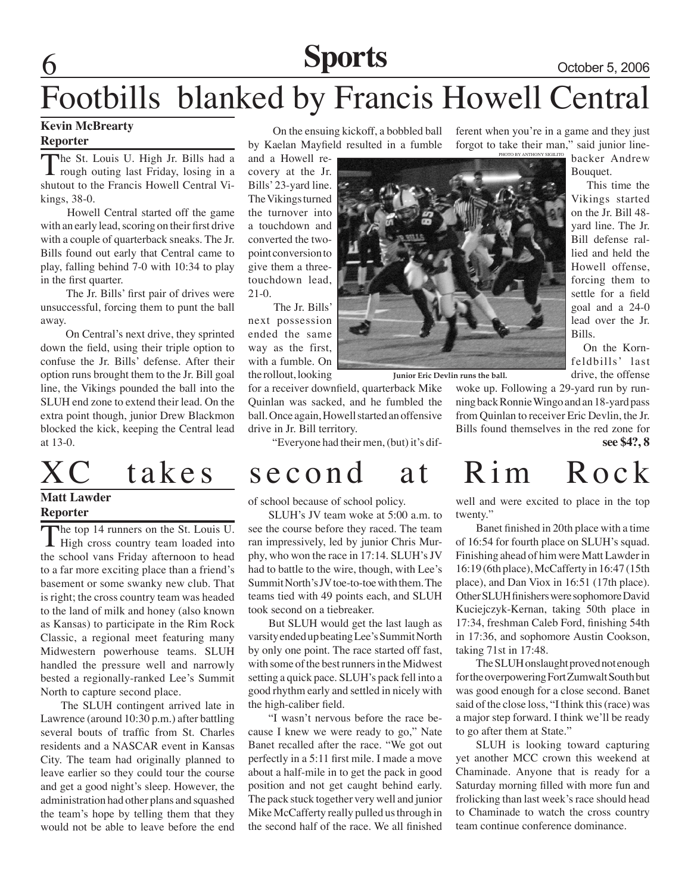### **Sports** October 5, 2006

Bouquet.

Bills.

 This time the Vikings started on the Jr. Bill 48 yard line. The Jr. Bill defense rallied and held the Howell offense, forcing them to settle for a field goal and a 24-0 lead over the Jr.

 On the Kornfeldbills' last drive, the offense

# Footbills blanked by Francis Howell Central

### **Kevin McBrearty**

#### **Reporter**

The St. Louis U. High Jr. Bills had a rough outing last Friday, losing in a shutout to the Francis Howell Central Vikings, 38-0.

 Howell Central started off the game with an early lead, scoring on their first drive with a couple of quarterback sneaks. The Jr. Bills found out early that Central came to play, falling behind 7-0 with 10:34 to play in the first quarter.

 The Jr. Bills' first pair of drives were unsuccessful, forcing them to punt the ball away.

 On Central's next drive, they sprinted down the field, using their triple option to confuse the Jr. Bills' defense. After their option runs brought them to the Jr. Bill goal line, the Vikings pounded the ball into the SLUH end zone to extend their lead. On the extra point though, junior Drew Blackmon blocked the kick, keeping the Central lead at 13-0.

#### **Matt Lawder Reporter**

The top 14 runners on the St. Louis U.<br>
High cross country team loaded into the school vans Friday afternoon to head to a far more exciting place than a friend's basement or some swanky new club. That is right; the cross country team was headed to the land of milk and honey (also known as Kansas) to participate in the Rim Rock Classic, a regional meet featuring many Midwestern powerhouse teams. SLUH handled the pressure well and narrowly bested a regionally-ranked Lee's Summit North to capture second place.

The SLUH contingent arrived late in Lawrence (around 10:30 p.m.) after battling several bouts of traffic from St. Charles residents and a NASCAR event in Kansas City. The team had originally planned to leave earlier so they could tour the course and get a good night's sleep. However, the administration had other plans and squashed the team's hope by telling them that they would not be able to leave before the end

 On the ensuing kickoff, a bobbled ball by Kaelan Mayfield resulted in a fumble

and a Howell recovery at the Jr. Bills' 23-yard line. The Vikings turned the turnover into a touchdown and converted the twopoint conversion to give them a threetouchdown lead, 21-0.

 The Jr. Bills' next possession ended the same way as the first, with a fumble. On the rollout, looking

for a receiver downfield, quarterback Mike Quinlan was sacked, and he fumbled the ball. Once again, Howell started an offensive drive in Jr. Bill territory.

"Everyone had their men, (but) it's dif-

### XC takes second at Rim Rock

of school because of school policy.

SLUH's JV team woke at 5:00 a.m. to see the course before they raced. The team ran impressively, led by junior Chris Murphy, who won the race in 17:14. SLUH's JV had to battle to the wire, though, with Lee's Summit North's JV toe-to-toe with them. The teams tied with 49 points each, and SLUH took second on a tiebreaker.

But SLUH would get the last laugh as varsity ended up beating Lee's Summit North by only one point. The race started off fast, with some of the best runners in the Midwest setting a quick pace. SLUH's pack fell into a good rhythm early and settled in nicely with the high-caliber field.

"I wasn't nervous before the race because I knew we were ready to go," Nate Banet recalled after the race. "We got out perfectly in a 5:11 first mile. I made a move about a half-mile in to get the pack in good position and not get caught behind early. The pack stuck together very well and junior Mike McCafferty really pulled us through in the second half of the race. We all finished

PHOTO BY ANTHONY SI ferent when you're in a game and they just forgot to take their man," said junior linebacker Andrew



**Junior Eric Devlin runs the ball.**

**see \$4?, 8** woke up. Following a 29-yard run by running back Ronnie Wingo and an 18-yard pass from Quinlan to receiver Eric Devlin, the Jr. Bills found themselves in the red zone for

well and were excited to place in the top twenty."

Banet finished in 20th place with a time of 16:54 for fourth place on SLUH's squad. Finishing ahead of him were Matt Lawder in 16:19 (6th place), McCafferty in 16:47 (15th place), and Dan Viox in 16:51 (17th place). Other SLUH finishers were sophomore David Kuciejczyk-Kernan, taking 50th place in 17:34, freshman Caleb Ford, finishing 54th in 17:36, and sophomore Austin Cookson, taking 71st in 17:48.

The SLUH onslaught proved not enough for the overpowering Fort Zumwalt South but was good enough for a close second. Banet said of the close loss, "I think this (race) was a major step forward. I think we'll be ready to go after them at State."

SLUH is looking toward capturing yet another MCC crown this weekend at Chaminade. Anyone that is ready for a Saturday morning filled with more fun and frolicking than last week's race should head to Chaminade to watch the cross country team continue conference dominance.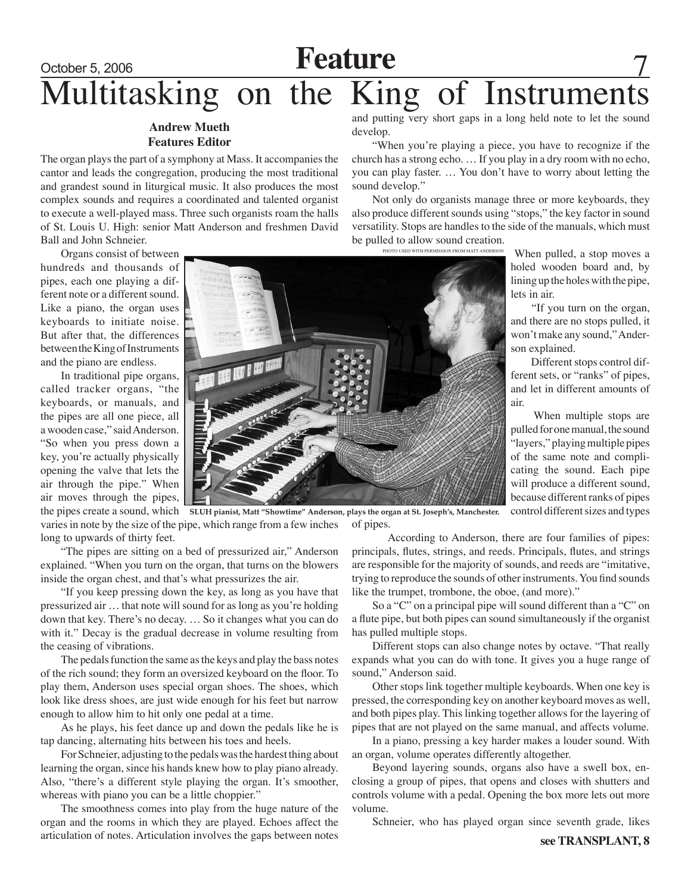# October 5, 2006 **Feature** Multitasking on the King of Instruments

#### **Andrew Mueth Features Editor**

The organ plays the part of a symphony at Mass. It accompanies the cantor and leads the congregation, producing the most traditional and grandest sound in liturgical music. It also produces the most complex sounds and requires a coordinated and talented organist to execute a well-played mass. Three such organists roam the halls of St. Louis U. High: senior Matt Anderson and freshmen David Ball and John Schneier.

Organs consist of between hundreds and thousands of pipes, each one playing a different note or a different sound. Like a piano, the organ uses keyboards to initiate noise. But after that, the differences between the King of Instruments and the piano are endless.

In traditional pipe organs, called tracker organs, "the keyboards, or manuals, and the pipes are all one piece, all a wooden case," said Anderson. "So when you press down a key, you're actually physically opening the valve that lets the air through the pipe." When air moves through the pipes,

the pipes create a sound, which varies in note by the size of the pipe, which range from a few inches long to upwards of thirty feet.

"The pipes are sitting on a bed of pressurized air," Anderson explained. "When you turn on the organ, that turns on the blowers inside the organ chest, and that's what pressurizes the air.

"If you keep pressing down the key, as long as you have that pressurized air … that note will sound for as long as you're holding down that key. There's no decay. … So it changes what you can do with it." Decay is the gradual decrease in volume resulting from the ceasing of vibrations.

The pedals function the same as the keys and play the bass notes of the rich sound; they form an oversized keyboard on the floor. To play them, Anderson uses special organ shoes. The shoes, which look like dress shoes, are just wide enough for his feet but narrow enough to allow him to hit only one pedal at a time.

As he plays, his feet dance up and down the pedals like he is tap dancing, alternating hits between his toes and heels.

For Schneier, adjusting to the pedals was the hardest thing about learning the organ, since his hands knew how to play piano already. Also, "there's a different style playing the organ. It's smoother, whereas with piano you can be a little choppier."

The smoothness comes into play from the huge nature of the organ and the rooms in which they are played. Echoes affect the articulation of notes. Articulation involves the gaps between notes and putting very short gaps in a long held note to let the sound develop.

"When you're playing a piece, you have to recognize if the church has a strong echo. … If you play in a dry room with no echo, you can play faster. … You don't have to worry about letting the sound develop."

Not only do organists manage three or more keyboards, they also produce different sounds using "stops," the key factor in sound versatility. Stops are handles to the side of the manuals, which must be pulled to allow sound creation. photo used with permission from Matt Anderson

When pulled, a stop moves a holed wooden board and, by lining up the holes with the pipe, lets in air.

 "If you turn on the organ, and there are no stops pulled, it won't make any sound," Anderson explained.

 Different stops control different sets, or "ranks" of pipes, and let in different amounts of air.

 When multiple stops are pulled for one manual, the sound "layers," playing multiple pipes of the same note and complicating the sound. Each pipe will produce a different sound, because different ranks of pipes control different sizes and types



of pipes.

 According to Anderson, there are four families of pipes: principals, flutes, strings, and reeds. Principals, flutes, and strings are responsible for the majority of sounds, and reeds are "imitative, trying to reproduce the sounds of other instruments. You find sounds like the trumpet, trombone, the oboe, (and more)."

So a "C" on a principal pipe will sound different than a "C" on a flute pipe, but both pipes can sound simultaneously if the organist has pulled multiple stops.

Different stops can also change notes by octave. "That really expands what you can do with tone. It gives you a huge range of sound," Anderson said.

Other stops link together multiple keyboards. When one key is pressed, the corresponding key on another keyboard moves as well, and both pipes play. This linking together allows for the layering of pipes that are not played on the same manual, and affects volume.

In a piano, pressing a key harder makes a louder sound. With an organ, volume operates differently altogether.

Beyond layering sounds, organs also have a swell box, enclosing a group of pipes, that opens and closes with shutters and controls volume with a pedal. Opening the box more lets out more volume.

Schneier, who has played organ since seventh grade, likes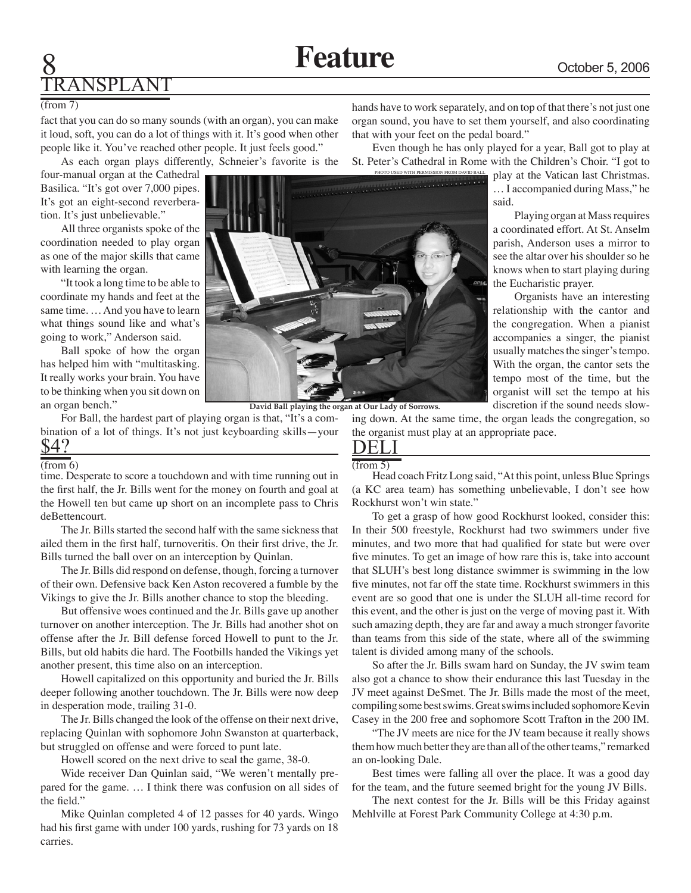# ANSPLAN

#### (from 7)

fact that you can do so many sounds (with an organ), you can make it loud, soft, you can do a lot of things with it. It's good when other people like it. You've reached other people. It just feels good." As each organ plays differently, Schneier's favorite is the

four-manual organ at the Cathedral Basilica. "It's got over 7,000 pipes. It's got an eight-second reverberation. It's just unbelievable."

All three organists spoke of the coordination needed to play organ as one of the major skills that came with learning the organ.

"It took a long time to be able to coordinate my hands and feet at the same time. … And you have to learn what things sound like and what's going to work," Anderson said.

Ball spoke of how the organ has helped him with "multitasking. It really works your brain. You have to be thinking when you sit down on an organ bench."

For Ball, the hardest part of playing organ is that, "It's a combination of a lot of things. It's not just keyboarding skills—your \$4?

#### $\overline{(from 6)}$

time. Desperate to score a touchdown and with time running out in the first half, the Jr. Bills went for the money on fourth and goal at the Howell ten but came up short on an incomplete pass to Chris deBettencourt.

The Jr. Bills started the second half with the same sickness that ailed them in the first half, turnoveritis. On their first drive, the Jr. Bills turned the ball over on an interception by Quinlan.

The Jr. Bills did respond on defense, though, forcing a turnover of their own. Defensive back Ken Aston recovered a fumble by the Vikings to give the Jr. Bills another chance to stop the bleeding.

But offensive woes continued and the Jr. Bills gave up another turnover on another interception. The Jr. Bills had another shot on offense after the Jr. Bill defense forced Howell to punt to the Jr. Bills, but old habits die hard. The Footbills handed the Vikings yet another present, this time also on an interception.

Howell capitalized on this opportunity and buried the Jr. Bills deeper following another touchdown. The Jr. Bills were now deep in desperation mode, trailing 31-0.

The Jr. Bills changed the look of the offense on their next drive, replacing Quinlan with sophomore John Swanston at quarterback, but struggled on offense and were forced to punt late.

Howell scored on the next drive to seal the game, 38-0.

Wide receiver Dan Quinlan said, "We weren't mentally prepared for the game. … I think there was confusion on all sides of the field."

Mike Quinlan completed 4 of 12 passes for 40 yards. Wingo had his first game with under 100 yards, rushing for 73 yards on 18 carries.

hands have to work separately, and on top of that there's not just one organ sound, you have to set them yourself, and also coordinating that with your feet on the pedal board."

Even though he has only played for a year, Ball got to play at St. Peter's Cathedral in Rome with the Children's Choir. "I got to

> play at the Vatican last Christmas. … I accompanied during Mass," he said.

> Playing organ at Mass requires a coordinated effort. At St. Anselm parish, Anderson uses a mirror to see the altar over his shoulder so he knows when to start playing during the Eucharistic prayer.

> Organists have an interesting relationship with the cantor and the congregation. When a pianist accompanies a singer, the pianist usually matches the singer's tempo. With the organ, the cantor sets the tempo most of the time, but the organist will set the tempo at his discretion if the sound needs slow-

(from 5) Head coach Fritz Long said, "At this point, unless Blue Springs (a KC area team) has something unbelievable, I don't see how Rockhurst won't win state."

To get a grasp of how good Rockhurst looked, consider this: In their 500 freestyle, Rockhurst had two swimmers under five minutes, and two more that had qualified for state but were over five minutes. To get an image of how rare this is, take into account that SLUH's best long distance swimmer is swimming in the low five minutes, not far off the state time. Rockhurst swimmers in this event are so good that one is under the SLUH all-time record for this event, and the other is just on the verge of moving past it. With such amazing depth, they are far and away a much stronger favorite than teams from this side of the state, where all of the swimming talent is divided among many of the schools.

So after the Jr. Bills swam hard on Sunday, the JV swim team also got a chance to show their endurance this last Tuesday in the JV meet against DeSmet. The Jr. Bills made the most of the meet, compiling some best swims. Great swims included sophomore Kevin Casey in the 200 free and sophomore Scott Trafton in the 200 IM.

"The JV meets are nice for the JV team because it really shows them how much better they are than all of the other teams," remarked an on-looking Dale.

Best times were falling all over the place. It was a good day for the team, and the future seemed bright for the young JV Bills.

The next contest for the Jr. Bills will be this Friday against Mehlville at Forest Park Community College at 4:30 p.m.

**David Ball playing the organ at Our Lady of Sorrows.**

DELI

ing down. At the same time, the organ leads the congregation, so the organist must play at an appropriate pace.

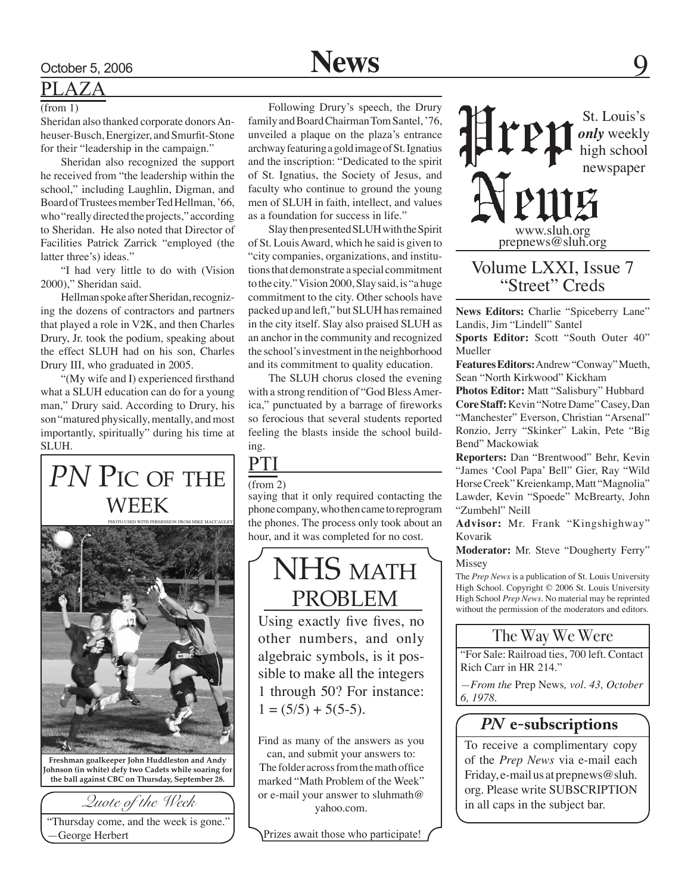## October 5, 2006 **News**

### PLAZA

Sheridan also thanked corporate donors Anheuser-Busch, Energizer, and Smurfit-Stone for their "leadership in the campaign."

Sheridan also recognized the support he received from "the leadership within the school," including Laughlin, Digman, and Board of Trustees member Ted Hellman, '66, who "really directed the projects," according to Sheridan. He also noted that Director of Facilities Patrick Zarrick "employed (the latter three's) ideas."

"I had very little to do with (Vision 2000)," Sheridan said.

Hellman spoke after Sheridan, recognizing the dozens of contractors and partners that played a role in V2K, and then Charles Drury, Jr. took the podium, speaking about the effect SLUH had on his son, Charles Drury III, who graduated in 2005.

"(My wife and I) experienced firsthand what a SLUH education can do for a young man," Drury said. According to Drury, his son "matured physically, mentally, and most importantly, spiritually" during his time at SLUH.

### **PN PIC OF THE** week



**Freshman goalkeeper John Huddleston and Andy Johnson (in white) defy two Cadets while soaring for the ball against CBC on Thursday, September 28.**

"Thursday come, and the week is gone." —George Herbert

(from 1) Following Drury's speech, the Drury<br>Sheridan also thanked corporate donors An-<br> $\frac{1}{2}$  St. Louis's Following Drury's speech, the Drury family and Board Chairman Tom Santel, '76, unveiled a plaque on the plaza's entrance archway featuring a gold image of St. Ignatius and the inscription: "Dedicated to the spirit of St. Ignatius, the Society of Jesus, and faculty who continue to ground the young men of SLUH in faith, intellect, and values as a foundation for success in life."

> Slay then presented SLUH with the Spirit of St. Louis Award, which he said is given to "city companies, organizations, and institutions that demonstrate a special commitment to the city." Vision 2000, Slay said, is "a huge commitment to the city. Other schools have packed up and left," but SLUH has remained in the city itself. Slay also praised SLUH as an anchor in the community and recognized the school's investment in the neighborhood and its commitment to quality education.

> The SLUH chorus closed the evening with a strong rendition of "God Bless America," punctuated by a barrage of fireworks so ferocious that several students reported feeling the blasts inside the school building.

### PTI (from 2)

saying that it only required contacting the phone company, who then came to reprogram the phones. The process only took about an hour, and it was completed for no cost.

### NHS MATH problem

Using exactly five fives, no other numbers, and only algebraic symbols, is it possible to make all the integers 1 through 50? For instance:  $1 = (5/5) + 5(5-5)$ .

Find as many of the answers as you

can, and submit your answers to: The folder across from the math office marked "Math Problem of the Week" or e-mail your answer to sluhmath@ yahoo.com.

Prizes await those who participate!



### Volume LXXI, Issue 7 "Street" Creds

**News Editors:** Charlie "Spiceberry Lane" Landis, Jim "Lindell" Santel

**Sports Editor:** Scott "South Outer 40" Mueller

**Features Editors:** Andrew "Conway" Mueth, Sean "North Kirkwood" Kickham

**Photos Editor:** Matt "Salisbury" Hubbard **Core Staff:** Kevin "Notre Dame" Casey, Dan "Manchester" Everson, Christian "Arsenal" Ronzio, Jerry "Skinker" Lakin, Pete "Big Bend" Mackowiak

**Reporters:** Dan "Brentwood" Behr, Kevin "James 'Cool Papa' Bell" Gier, Ray "Wild Horse Creek" Kreienkamp, Matt "Magnolia" Lawder, Kevin "Spoede" McBrearty, John "Zumbehl" Neill

**Advisor:** Mr. Frank "Kingshighway" Kovarik

**Moderator:** Mr. Steve "Dougherty Ferry" Missey

The *Prep News* is a publication of St. Louis University High School. Copyright © 2006 St. Louis University High School *Prep News.* No material may be reprinted without the permission of the moderators and editors.

### The Way We Were

"For Sale: Railroad ties, 700 left. Contact Rich Carr in HR 214."

*—From the* Prep News*, vol. 43, October 6, 1978.*

### *PN* **e-subscriptions**

To receive a complimentary copy of the *Prep News* via e-mail each Friday, e-mail us at prepnews@sluh. org. Please write SUBSCRIPTION in all caps in the subject bar.